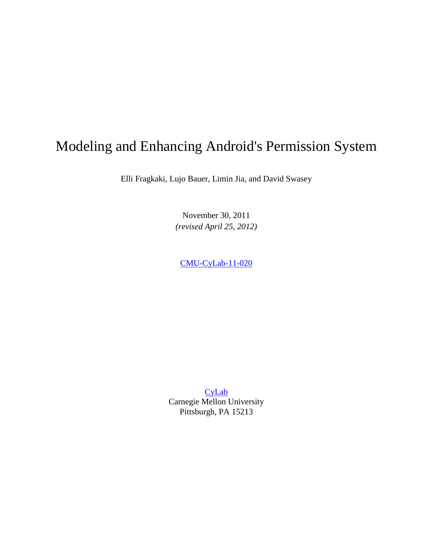# Modeling and Enhancing Android's Permission System

Elli Fragkaki, Lujo Bauer, Limin Jia, and David Swasey

November 30, 2011 *(revised April 25, 2012)*

[CMU-CyLab-11-020](http://www.cylab.cmu.edu/research/techreports/2011/tr_cylab11020.html)

**[CyLab](http://www.cylab.cmu.edu/)** Carnegie Mellon University Pittsburgh, PA 15213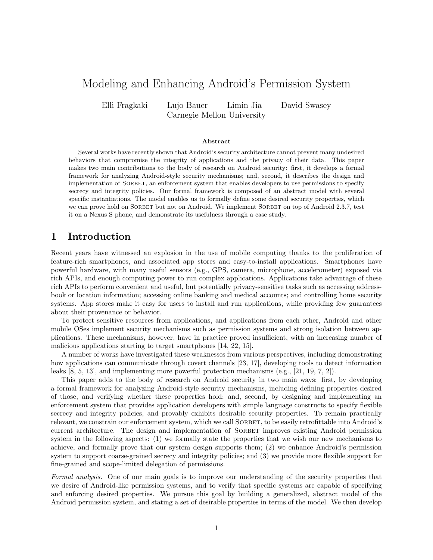# Modeling and Enhancing Android's Permission System

Elli Fragkaki Lujo Bauer Limin Jia David Swasey Carnegie Mellon University

#### Abstract

Several works have recently shown that Android's security architecture cannot prevent many undesired behaviors that compromise the integrity of applications and the privacy of their data. This paper makes two main contributions to the body of research on Android security: first, it develops a formal framework for analyzing Android-style security mechanisms; and, second, it describes the design and implementation of SORBET, an enforcement system that enables developers to use permissions to specify secrecy and integrity policies. Our formal framework is composed of an abstract model with several specific instantiations. The model enables us to formally define some desired security properties, which we can prove hold on SORBET but not on Android. We implement SORBET on top of Android 2.3.7, test it on a Nexus S phone, and demonstrate its usefulness through a case study.

# 1 Introduction

Recent years have witnessed an explosion in the use of mobile computing thanks to the proliferation of feature-rich smartphones, and associated app stores and easy-to-install applications. Smartphones have powerful hardware, with many useful sensors (e.g., GPS, camera, microphone, accelerometer) exposed via rich APIs, and enough computing power to run complex applications. Applications take advantage of these rich APIs to perform convenient and useful, but potentially privacy-sensitive tasks such as accessing addressbook or location information; accessing online banking and medical accounts; and controlling home security systems. App stores make it easy for users to install and run applications, while providing few guarantees about their provenance or behavior.

To protect sensitive resources from applications, and applications from each other, Android and other mobile OSes implement security mechanisms such as permission systems and strong isolation between applications. These mechanisms, however, have in practice proved insufficient, with an increasing number of malicious applications starting to target smartphones [14, 22, 15].

A number of works have investigated these weaknesses from various perspectives, including demonstrating how applications can communicate through covert channels [23, 17], developing tools to detect information leaks [8, 5, 13], and implementing more powerful protection mechanisms (e.g., [21, 19, 7, 2]).

This paper adds to the body of research on Android security in two main ways: first, by developing a formal framework for analyzing Android-style security mechanisms, including defining properties desired of those, and verifying whether these properties hold; and, second, by designing and implementing an enforcement system that provides application developers with simple language constructs to specify flexible secrecy and integrity policies, and provably exhibits desirable security properties. To remain practically relevant, we constrain our enforcement system, which we call SORBET, to be easily retrofittable into Android's current architecture. The design and implementation of SORBET improves existing Android permission system in the following aspects: (1) we formally state the properties that we wish our new mechanisms to achieve, and formally prove that our system design supports them; (2) we enhance Android's permission system to support coarse-grained secrecy and integrity policies; and (3) we provide more flexible support for fine-grained and scope-limited delegation of permissions.

Formal analysis. One of our main goals is to improve our understanding of the security properties that we desire of Android-like permission systems, and to verify that specific systems are capable of specifying and enforcing desired properties. We pursue this goal by building a generalized, abstract model of the Android permission system, and stating a set of desirable properties in terms of the model. We then develop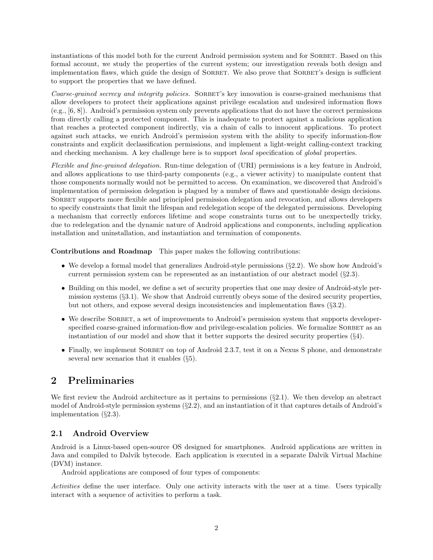instantiations of this model both for the current Android permission system and for SORBET. Based on this formal account, we study the properties of the current system; our investigation reveals both design and implementation flaws, which guide the design of SORBET. We also prove that SORBET's design is sufficient to support the properties that we have defined.

Coarse-grained secrecy and integrity policies. SORBET's key innovation is coarse-grained mechanisms that allow developers to protect their applications against privilege escalation and undesired information flows (e.g., [6, 8]). Android's permission system only prevents applications that do not have the correct permissions from directly calling a protected component. This is inadequate to protect against a malicious application that reaches a protected component indirectly, via a chain of calls to innocent applications. To protect against such attacks, we enrich Android's permission system with the ability to specify information-flow constraints and explicit declassification permissions, and implement a light-weight calling-context tracking and checking mechanism. A key challenge here is to support *local* specification of *global* properties.

Flexible and fine-grained delegation. Run-time delegation of (URI) permissions is a key feature in Android, and allows applications to use third-party components (e.g., a viewer activity) to manipulate content that those components normally would not be permitted to access. On examination, we discovered that Android's implementation of permission delegation is plagued by a number of flaws and questionable design decisions. SORBET supports more flexible and principled permission delegation and revocation, and allows developers to specify constraints that limit the lifespan and redelegation scope of the delegated permissions. Developing a mechanism that correctly enforces lifetime and scope constraints turns out to be unexpectedly tricky, due to redelegation and the dynamic nature of Android applications and components, including application installation and uninstallation, and instantiation and termination of components.

Contributions and Roadmap This paper makes the following contributions:

- We develop a formal model that generalizes Android-style permissions (§2.2). We show how Android's current permission system can be represented as an instantiation of our abstract model  $(\S2.3)$ .
- Building on this model, we define a set of security properties that one may desire of Android-style permission systems  $(\S3.1)$ . We show that Android currently obeys some of the desired security properties, but not others, and expose several design inconsistencies and implementation flaws  $(\S3.2)$ .
- We describe SORBET, a set of improvements to Android's permission system that supports developerspecified coarse-grained information-flow and privilege-escalation policies. We formalize SORBET as an instantiation of our model and show that it better supports the desired security properties  $(\S 4)$ .
- Finally, we implement SORBET on top of Android 2.3.7, test it on a Nexus S phone, and demonstrate several new scenarios that it enables  $(\S 5)$ .

# 2 Preliminaries

We first review the Android architecture as it pertains to permissions (§2.1). We then develop an abstract model of Android-style permission systems (§2.2), and an instantiation of it that captures details of Android's implementation (§2.3).

## 2.1 Android Overview

Android is a Linux-based open-source OS designed for smartphones. Android applications are written in Java and compiled to Dalvik bytecode. Each application is executed in a separate Dalvik Virtual Machine (DVM) instance.

Android applications are composed of four types of components:

Activities define the user interface. Only one activity interacts with the user at a time. Users typically interact with a sequence of activities to perform a task.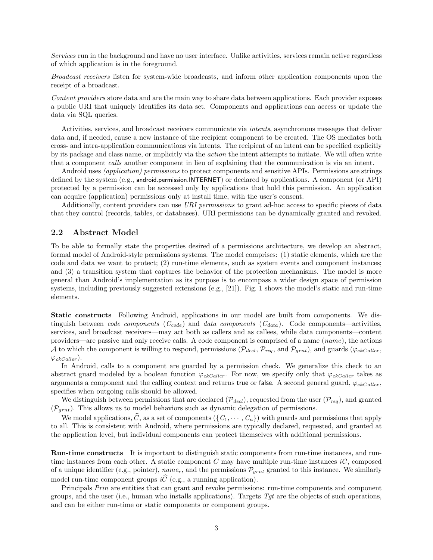Services run in the background and have no user interface. Unlike activities, services remain active regardless of which application is in the foreground.

Broadcast receivers listen for system-wide broadcasts, and inform other application components upon the receipt of a broadcast.

Content providers store data and are the main way to share data between applications. Each provider exposes a public URI that uniquely identifies its data set. Components and applications can access or update the data via SQL queries.

Activities, services, and broadcast receivers communicate via intents, asynchronous messages that deliver data and, if needed, cause a new instance of the recipient component to be created. The OS mediates both cross- and intra-application communications via intents. The recipient of an intent can be specified explicitly by its package and class name, or implicitly via the action the intent attempts to initiate. We will often write that a component calls another component in lieu of explaining that the communication is via an intent.

Android uses *(application) permissions* to protect components and sensitive APIs. Permissions are strings defined by the system (e.g., android.permission.INTERNET) or declared by applications. A component (or API) protected by a permission can be accessed only by applications that hold this permission. An application can acquire (application) permissions only at install time, with the user's consent.

Additionally, content providers can use URI permissions to grant ad-hoc access to specific pieces of data that they control (records, tables, or databases). URI permissions can be dynamically granted and revoked.

#### 2.2 Abstract Model

To be able to formally state the properties desired of a permissions architecture, we develop an abstract, formal model of Android-style permissions systems. The model comprises: (1) static elements, which are the code and data we want to protect; (2) run-time elements, such as system events and component instances; and (3) a transition system that captures the behavior of the protection mechanisms. The model is more general than Android's implementation as its purpose is to encompass a wider design space of permission systems, including previously suggested extensions (e.g., [21]). Fig. 1 shows the model's static and run-time elements.

Static constructs Following Android, applications in our model are built from components. We distinguish between *code components* ( $C_{code}$ ) and *data components* ( $C_{data}$ ). Code components—activities, services, and broadcast receivers—may act both as callers and as callees, while data components—content providers—are passive and only receive calls. A code component is comprised of a name (name), the actions A to which the component is willing to respond, permissions ( $\mathcal{P}_{decl}$ ,  $\mathcal{P}_{req}$ , and  $\mathcal{P}_{grnt}$ ), and guards ( $\varphi_{ckCallee}$ ,  $\varphi_{ckCaller}$ ).

In Android, calls to a component are guarded by a permission check. We generalize this check to an abstract guard modeled by a boolean function  $\varphi_{ckCaller}$ . For now, we specify only that  $\varphi_{ckCaller}$  takes as arguments a component and the calling context and returns true or false. A second general guard,  $\varphi_{ckCallee}$ , specifies when outgoing calls should be allowed.

We distinguish between permissions that are declared ( $\mathcal{P}_{decl}$ ), requested from the user ( $\mathcal{P}_{req}$ ), and granted  $(\mathcal{P}_{grnt})$ . This allows us to model behaviors such as dynamic delegation of permissions.

We model applications,  $\widehat{C}$ , as a set of components  $({C_1, \cdots, C_n})$  with guards and permissions that apply to all. This is consistent with Android, where permissions are typically declared, requested, and granted at the application level, but individual components can protect themselves with additional permissions.

Run-time constructs It is important to distinguish static components from run-time instances, and runtime instances from each other. A static component C may have multiple run-time instances  $iC$ , composed of a unique identifier (e.g., pointer), name<sub>r</sub>, and the permissions  $P_{grnt}$  granted to this instance. We similarly model run-time component groups  $i\hat{C}$  (e.g., a running application).

Principals Prin are entities that can grant and revoke permissions: run-time components and component groups, and the user (i.e., human who installs applications). Targets  $Tqt$  are the objects of such operations, and can be either run-time or static components or component groups.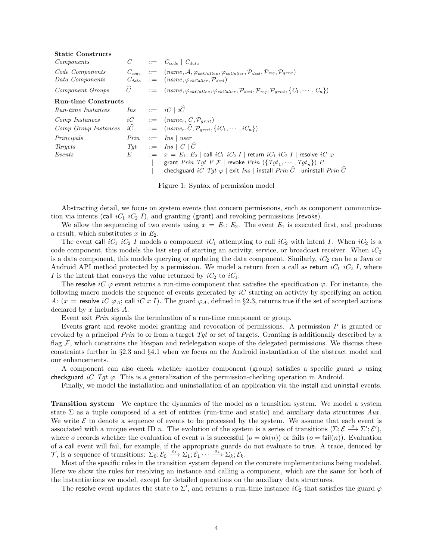| <b>Static Constructs</b>               |             |                                                                                                                                                                                                                                                                                         |
|----------------------------------------|-------------|-----------------------------------------------------------------------------------------------------------------------------------------------------------------------------------------------------------------------------------------------------------------------------------------|
| Components                             |             | $C$ $::=$ $C_{code} \mid C_{data}$                                                                                                                                                                                                                                                      |
| Code Components<br>Data Components     |             | $C_{code}$ ::= $(name, \mathcal{A}, \varphi_{ckCallee}, \varphi_{ckCaller}, \mathcal{P}_{del}, \mathcal{P}_{req}, \mathcal{P}_{grnt})$<br>$C_{data}$ ::= $(name, \varphi_{ckCaller}, \mathcal{P}_{decl})$                                                                               |
| Component Groups                       |             | $\widehat{C}$ :::= $(name, \varphi_{ckCallee}, \varphi_{ckCaller}, \mathcal{P}_{decl}, \mathcal{P}_{req}, \mathcal{P}_{grnt}, \{C_1, \cdots, C_n\})$                                                                                                                                    |
| <b>Run-time Constructs</b>             |             |                                                                                                                                                                                                                                                                                         |
| Run-time Instances                     |             | <i>Ins</i> $::= iC \mid iC$                                                                                                                                                                                                                                                             |
| Comp Instances<br>Comp Group Instances |             | $iC$ ::= $(name_r, C, \mathcal{P}_{grnt})$<br>$i\widehat{C}$ ::= $(name_r, \widehat{C}, \mathcal{P}_{arnt}, \{iC_1, \cdots, iC_n\})$                                                                                                                                                    |
| Principals                             |             | $Prin ::= Ins \mid user$                                                                                                                                                                                                                                                                |
| Targets                                |             | $Tqt$ ::= $Ins \mid C \mid \widehat{C}$                                                                                                                                                                                                                                                 |
| Events                                 | $E$ and $E$ | $\therefore$ $x = E_1; E_2$   call $iC_1$ $iC_2$ <i>I</i>   return $iC_1$ $iC_2$ <i>I</i>   resolve $iC \varphi$<br>grant Prin Tgt P F   revoke Prin $({Tgt_1, \cdots, Tgt_n})$ P<br>checkguard iC Tgt $\varphi$   exit Ins   install Prin $\widehat{C}$   uninstall Prin $\widehat{C}$ |
|                                        |             |                                                                                                                                                                                                                                                                                         |

Figure 1: Syntax of permission model

Abstracting detail, we focus on system events that concern permissions, such as component communication via intents (call  $iC_1$   $iC_2$  I), and granting (grant) and revoking permissions (revoke).

We allow the sequencing of two events using  $x = E_1$ ;  $E_2$ . The event  $E_1$  is executed first, and produces a result, which substitutes  $x$  in  $E_2$ .

The event call iC<sub>1</sub> iC<sub>2</sub> I models a component iC<sub>1</sub> attempting to call iC<sub>2</sub> with intent I. When iC<sub>2</sub> is a code component, this models the last step of starting an activity, service, or broadcast receiver. When  $iC_2$ is a data component, this models querying or updating the data component. Similarly,  $iC_2$  can be a Java or Android API method protected by a permission. We model a return from a call as return  $iC_1$   $iC_2$  I, where I is the intent that conveys the value returned by  $iC_2$  to  $iC_1$ .

The resolve iC  $\varphi$  event returns a run-time component that satisfies the specification  $\varphi$ . For instance, the following macro models the sequence of events generated by  $iC$  starting an activity by specifying an action A:  $(x =$  resolve iC  $\varphi_A$ ; call iC x I). The guard  $\varphi_A$ , defined in §2.3, returns true if the set of accepted actions declared by x includes A.

Event exit Prin signals the termination of a run-time component or group.

Events grant and revoke model granting and revocation of permissions. A permission  $P$  is granted or revoked by a principal Prin to or from a target Tgt or set of targets. Granting is additionally described by a flag  $\mathcal F$ , which constrains the lifespan and redelegation scope of the delegated permissions. We discuss these constraints further in §2.3 and §4.1 when we focus on the Android instantiation of the abstract model and our enhancements.

A component can also check whether another component (group) satisfies a specific guard  $\varphi$  using checkguard iC Tat  $\varphi$ . This is a generalization of the permission-checking operation in Android.

Finally, we model the installation and uninstallation of an application via the install and uninstall events.

Transition system We capture the dynamics of the model as a transition system. We model a system state  $\Sigma$  as a tuple composed of a set of entities (run-time and static) and auxiliary data structures  $Aux$ . We write  $\mathcal E$  to denote a sequence of events to be processed by the system. We assume that each event is associated with a unique event ID n. The evolution of the system is a series of transitions  $(\Sigma; \mathcal{E} \stackrel{o}{\longrightarrow} \Sigma'; \mathcal{E}')$ , where o records whether the evaluation of event n is successful  $(o = \mathsf{ok}(n))$  or fails  $(o = \mathsf{fail}(n))$ . Evaluation of a call event will fail, for example, if the appropriate guards do not evaluate to true. A trace, denoted by  $\mathcal{T}$ , is a sequence of transitions:  $\Sigma_0: \mathcal{E}_0 \xrightarrow{o_1} \Sigma_1: \mathcal{E}_1 \cdots \xrightarrow{o_k} \Sigma_k: \mathcal{E}_k$ .

Most of the specific rules in the transition system depend on the concrete implementations being modeled. Here we show the rules for resolving an instance and calling a component, which are the same for both of the instantiations we model, except for detailed operations on the auxiliary data structures.

The resolve event updates the state to  $\Sigma'$ , and returns a run-time instance  $iC_2$  that satisfies the guard  $\varphi$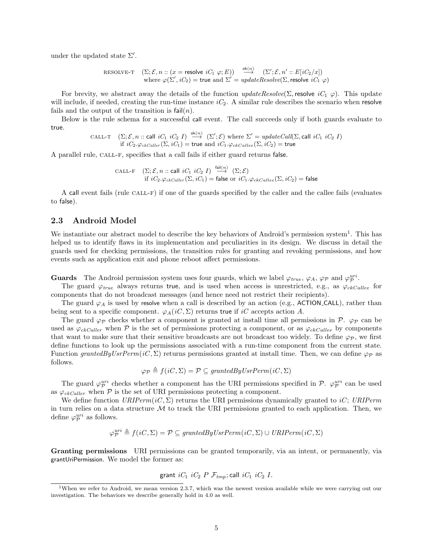under the updated state  $\Sigma'$ .

$$
RESOLVE-T (Σ; ε, n :: (x = resolve iC1 φ; E)) \xrightarrow{\text{ok}(n)} (Σ'; ε, n' :: E[iC2/x])
$$
\n
$$
where φ(Σ', iC2) = true and Σ' = updateResolve(Σ, resolve iC1 φ)
$$

For brevity, we abstract away the details of the function  $updateResolve(\Sigma, resolve iC_1 \varphi)$ . This update will include, if needed, creating the run-time instance  $iC_2$ . A similar rule describes the scenario when resolve fails and the output of the transition is  $\text{fail}(n)$ .

Below is the rule schema for a successful call event. The call succeeds only if both guards evaluate to true.

CALL-T 
$$
(\Sigma; \mathcal{E}, n:: \text{call } iC_1 \text{ } iC_2 \text{ } I) \xrightarrow{\text{ok}(n)} (\Sigma'; \mathcal{E})
$$
 where  $\Sigma' = updateCall(\Sigma, \text{call } iC_1 \text{ } iC_2 \text{ } I)$   
if  $iC_2.\varphi_{ckCaller}(\Sigma, iC_1) = \text{true}$  and  $iC_1.\varphi_{ckCalle}(\Sigma, iC_2) = \text{true}$ 

A parallel rule, call-f, specifies that a call fails if either guard returns false.

$$
\begin{array}{ll}\n\text{CALL-F} & \left(\Sigma;\mathcal{E},n::\text{call } iC_1 \ iC_2 \ I\right) \xrightarrow{\text{fail}(n)} \left(\Sigma;\mathcal{E}\right) \\
\text{if } iC_2.\varphi_{ckCaller}(\Sigma,iC_1) = \text{false or } iC_1.\varphi_{ckCallee}(\Sigma,iC_2) = \text{false}\n\end{array}
$$

A call event fails (rule call-f) if one of the guards specified by the caller and the callee fails (evaluates to false).

#### 2.3 Android Model

We instantiate our abstract model to describe the key behaviors of Android's permission system<sup>1</sup>. This has helped us to identify flaws in its implementation and peculiarities in its design. We discuss in detail the guards used for checking permissions, the transition rules for granting and revoking permissions, and how events such as application exit and phone reboot affect permissions.

**Guards** The Android permission system uses four guards, which we label  $\varphi_{true}, \varphi_A, \varphi_{\mathcal{P}}$  and  $\varphi_{\mathcal{P}}^{uri}$ .

The guard  $\varphi_{true}$  always returns true, and is used when access is unrestricted, e.g., as  $\varphi_{ckCalle}$  for components that do not broadcast messages (and hence need not restrict their recipients).

The guard  $\varphi_A$  is used by resolve when a call is described by an action (e.g., ACTION\_CALL), rather than being sent to a specific component.  $\varphi_A(iC, \Sigma)$  returns true if iC accepts action A.

The guard  $\varphi_{\mathcal{P}}$  checks whether a component is granted at install time all permissions in  $\mathcal{P}$ .  $\varphi_{\mathcal{P}}$  can be used as  $\varphi_{ckCaller}$  when  $\mathcal P$  is the set of permissions protecting a component, or as  $\varphi_{ckCalle}$  by components that want to make sure that their sensitive broadcasts are not broadcast too widely. To define  $\varphi_{\mathcal{P}}$ , we first define functions to look up the permissions associated with a run-time component from the current state. Function grantedByUsrPerm(iC,  $\Sigma$ ) returns permissions granted at install time. Then, we can define  $\varphi_{\mathcal{P}}$  as follows.

$$
\varphi_{\mathcal{P}} \triangleq f(iC, \Sigma) = \mathcal{P} \subseteq grantedByUsrPerm(iC, \Sigma)
$$

The guard  $\varphi_p^{uri}$  checks whether a component has the URI permissions specified in  $\mathcal{P}\!$ .  $\varphi_p^{uri}$  can be used as  $\varphi_{ckCaller}$  when  $\mathcal P$  is the set of URI permissions protecting a component.

We define function  $URIPerm(iC, \Sigma)$  returns the URI permissions dynamically granted to iC; URIPerm in turn relies on a data structure  $M$  to track the URI permissions granted to each application. Then, we define  $\varphi_{\mathcal{P}}^{uri}$  as follows.

$$
\varphi_{\mathcal{P}}^{uri} \triangleq f(iC, \Sigma) = \mathcal{P} \subseteq grantedByUsrPerm(iC, \Sigma) \cup URIPerm(iC, \Sigma)
$$

Granting permissions URI permissions can be granted temporarily, via an intent, or permanently, via grantUriPermission. We model the former as:

$$
\text{grant } iC_1 \,\, iC_2 \,\, P \,\, \mathcal{F}_{tmp}; \text{call } iC_1 \,\, iC_2 \,\, I.
$$

<sup>&</sup>lt;sup>1</sup>When we refer to Android, we mean version 2.3.7, which was the newest version available while we were carrying out our investigation. The behaviors we describe generally hold in 4.0 as well.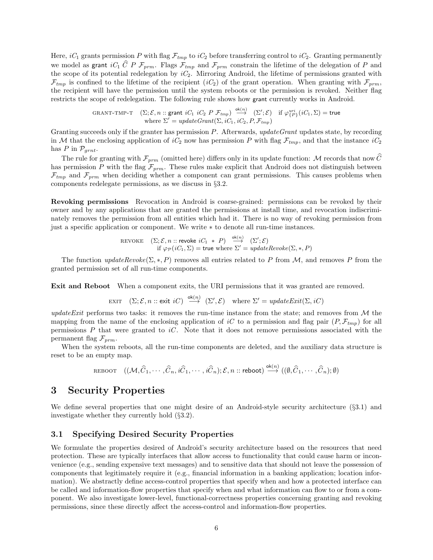Here, iC<sub>1</sub> grants permission P with flag  $\mathcal{F}_{tmp}$  to iC<sub>2</sub> before transferring control to iC<sub>2</sub>. Granting permanently we model as grant i $C_1$   $\widehat{C}$  P  $\mathcal{F}_{prm}$ . Flags  $\mathcal{F}_{tmp}$  and  $\mathcal{F}_{prm}$  constrain the lifetime of the delegation of P and the scope of its potential redelegation by  $iC_2$ . Mirroring Android, the lifetime of permissions granted with  $\mathcal{F}_{tmp}$  is confined to the lifetime of the recipient  $(iC_2)$  of the grant operation. When granting with  $\mathcal{F}_{prm}$ , the recipient will have the permission until the system reboots or the permission is revoked. Neither flag restricts the scope of redelegation. The following rule shows how grant currently works in Android.

> $\text{GRANT-TMP-T} \quad (\Sigma; \mathcal{E}, n:: \text{grant } iC_1 \,\, iC_2 \,\, P \,\, \mathcal{F}_{tmp}) \,\, \stackrel{\text{o}{\text{t}}(n)}{\longrightarrow} \,\, (\Sigma'; \mathcal{E}) \quad \text{if } \, \varphi_{\{P\}}^{uri}(\emph{i} C_1, \Sigma) = \text{true}$ where  $\Sigma' = updateGrant(\Sigma, iC_1, iC_2, P, \mathcal{F}_{tmp})$

Granting succeeds only if the granter has permission P. Afterwards, updateGrant updates state, by recording in M that the enclosing application of  $iC_2$  now has permission P with flag  $\mathcal{F}_{tmp}$ , and that the instance  $iC_2$ has P in  $\mathcal{P}_{grnt}$ .

The rule for granting with  $\mathcal{F}_{prm}$  (omitted here) differs only in its update function: M records that now  $\widehat{C}$ has permission P with the flag  $\mathcal{F}_{prm}$ . These rules make explicit that Android does not distinguish between  $\mathcal{F}_{tmp}$  and  $\mathcal{F}_{prm}$  when deciding whether a component can grant permissions. This causes problems when components redelegate permissions, as we discuss in §3.2.

Revoking permissions Revocation in Android is coarse-grained: permissions can be revoked by their owner and by any applications that are granted the permissions at install time, and revocation indiscriminately removes the permission from all entities which had it. There is no way of revoking permission from just a specific application or component. We write ∗ to denote all run-time instances.

REVOKE 
$$
(\Sigma; \mathcal{E}, n:: \text{revole } iC_1 * P) \xrightarrow{\text{ok}(n)} (\Sigma'; \mathcal{E})
$$
  
if  $\varphi_{\mathcal{P}}(iC_1, \Sigma) = \text{true}$  where  $\Sigma' = updateRevol(\Sigma, *, P)$ 

The function  $updateRevoke(\Sigma, *, P)$  removes all entries related to P from M, and removes P from the granted permission set of all run-time components.

Exit and Reboot When a component exits, the URI permissions that it was granted are removed.

**EXIT** 
$$
(\Sigma; \mathcal{E}, n :: \text{exit } iC) \stackrel{\text{ok}(n)}{\longrightarrow} (\Sigma', \mathcal{E})
$$
 where  $\Sigma' = updateExit(\Sigma, iC)$ 

update Exit performs two tasks: it removes the run-time instance from the state; and removes from  $\mathcal M$  the mapping from the name of the enclosing application of iC to a permission and flag pair  $(P, \mathcal{F}_{tmp})$  for all permissions  $P$  that were granted to  $iC$ . Note that it does not remove permissions associated with the permanent flag  $\mathcal{F}_{\text{prm}}$ .

When the system reboots, all the run-time components are deleted, and the auxiliary data structure is reset to be an empty map.

REBOOT  $((\mathcal{M}, \widehat{C}_1, \cdots, \widehat{C}_n, i\widehat{C}_1, \cdots, i\widehat{C}_n); \mathcal{E}, n:: \mathsf{reboot}) \stackrel{\mathsf{ok}(n)}{\longrightarrow} ((\emptyset, \widehat{C}_1, \cdots, \widehat{C}_n); \emptyset)$ 

### 3 Security Properties

We define several properties that one might desire of an Android-style security architecture (§3.1) and investigate whether they currently hold (§3.2).

#### 3.1 Specifying Desired Security Properties

We formulate the properties desired of Android's security architecture based on the resources that need protection. These are typically interfaces that allow access to functionality that could cause harm or inconvenience (e.g., sending expensive text messages) and to sensitive data that should not leave the possession of components that legitimately require it (e.g., financial information in a banking application; location information). We abstractly define access-control properties that specify when and how a protected interface can be called and information-flow properties that specify when and what information can flow to or from a component. We also investigate lower-level, functional-correctness properties concerning granting and revoking permissions, since these directly affect the access-control and information-flow properties.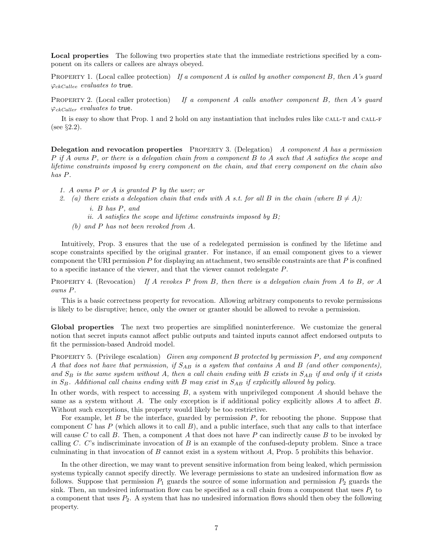Local properties The following two properties state that the immediate restrictions specified by a component on its callers or callees are always obeyed.

**PROPERTY** 1. (Local callee protection) If a component A is called by another component B, then A's guard  $\varphi_{ckCallee}$  evaluates to true.

PROPERTY 2. (Local caller protection) If a component A calls another component B, then A's quard  $\varphi_{ckCaller}$  evaluates to true.

It is easy to show that Prop. 1 and 2 hold on any instantiation that includes rules like CALL-T and CALL-F (see §2.2).

Delegation and revocation properties PROPERTY 3. (Delegation) A component A has a permission P if A owns P, or there is a delegation chain from a component B to A such that A satisfies the scope and lifetime constraints imposed by every component on the chain, and that every component on the chain also has P.

- 1. A owns P or A is granted P by the user; or
- 2. (a) there exists a delegation chain that ends with A s.t. for all B in the chain (where  $B \neq A$ ):
	- i. B has P, and
	- ii. A satisfies the scope and lifetime constraints imposed by  $B$ ;
	- (b) and P has not been revoked from A.

Intuitively, Prop. 3 ensures that the use of a redelegated permission is confined by the lifetime and scope constraints specified by the original granter. For instance, if an email component gives to a viewer component the URI permission  $P$  for displaying an attachment, two sensible constraints are that  $P$  is confined to a specific instance of the viewer, and that the viewer cannot redelegate P.

PROPERTY 4. (Revocation) If A revokes P from B, then there is a delegation chain from A to B, or A owns P.

This is a basic correctness property for revocation. Allowing arbitrary components to revoke permissions is likely to be disruptive; hence, only the owner or granter should be allowed to revoke a permission.

Global properties The next two properties are simplified noninterference. We customize the general notion that secret inputs cannot affect public outputs and tainted inputs cannot affect endorsed outputs to fit the permission-based Android model.

PROPERTY 5. (Privilege escalation) Given any component B protected by permission P, and any component A that does not have that permission, if  $S_{AB}$  is a system that contains A and B (and other components), and  $S_B$  is the same system without A, then a call chain ending with B exists in  $S_{AB}$  if and only if it exists in  $S_B$ . Additional call chains ending with B may exist in  $S_{AB}$  if explicitly allowed by policy.

In other words, with respect to accessing  $B$ , a system with unprivileged component  $A$  should behave the same as a system without A. The only exception is if additional policy explicitly allows A to affect B. Without such exceptions, this property would likely be too restrictive.

For example, let  $B$  be the interface, guarded by permission  $P$ , for rebooting the phone. Suppose that component C has  $P$  (which allows it to call  $B$ ), and a public interface, such that any calls to that interface will cause C to call B. Then, a component A that does not have P can indirectly cause B to be invoked by calling C. C's indiscriminate invocation of  $B$  is an example of the confused-deputy problem. Since a trace culminating in that invocation of  $B$  cannot exist in a system without  $A$ , Prop. 5 prohibits this behavior.

In the other direction, we may want to prevent sensitive information from being leaked, which permission systems typically cannot specify directly. We leverage permissions to state an undesired information flow as follows. Suppose that permission  $P_1$  guards the source of some information and permission  $P_2$  guards the sink. Then, an undesired information flow can be specified as a call chain from a component that uses  $P_1$  to a component that uses  $P_2$ . A system that has no undesired information flows should then obey the following property.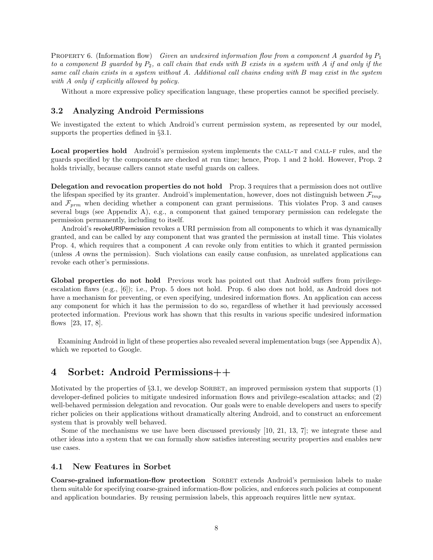PROPERTY 6. (Information flow) Given an undesired information flow from a component A guarded by  $P_1$ to a component B guarded by  $P_2$ , a call chain that ends with B exists in a system with A if and only if the same call chain exists in a system without A. Additional call chains ending with B may exist in the system with A only if explicitly allowed by policy.

Without a more expressive policy specification language, these properties cannot be specified precisely.

#### 3.2 Analyzing Android Permissions

We investigated the extent to which Android's current permission system, as represented by our model, supports the properties defined in §3.1.

Local properties hold Android's permission system implements the CALL-T and CALL-F rules, and the guards specified by the components are checked at run time; hence, Prop. 1 and 2 hold. However, Prop. 2 holds trivially, because callers cannot state useful guards on callees.

Delegation and revocation properties do not hold Prop. 3 requires that a permission does not outlive the lifespan specified by its granter. Android's implementation, however, does not distinguish between  $\mathcal{F}_{tmp}$ and  $\mathcal{F}_{prm}$  when deciding whether a component can grant permissions. This violates Prop. 3 and causes several bugs (see Appendix A), e.g., a component that gained temporary permission can redelegate the permission permanently, including to itself.

Android's revokeURIPermission revokes a URI permission from all components to which it was dynamically granted, and can be called by any component that was granted the permission at install time. This violates Prop. 4, which requires that a component A can revoke only from entities to which it granted permission (unless A owns the permission). Such violations can easily cause confusion, as unrelated applications can revoke each other's permissions.

Global properties do not hold Previous work has pointed out that Android suffers from privilegeescalation flaws (e.g., [6]); i.e., Prop. 5 does not hold. Prop. 6 also does not hold, as Android does not have a mechanism for preventing, or even specifying, undesired information flows. An application can access any component for which it has the permission to do so, regardless of whether it had previously accessed protected information. Previous work has shown that this results in various specific undesired information flows [23, 17, 8].

Examining Android in light of these properties also revealed several implementation bugs (see Appendix A), which we reported to Google.

## 4 Sorbet: Android Permissions++

Motivated by the properties of  $\S 3.1$ , we develop SORBET, an improved permission system that supports  $(1)$ developer-defined policies to mitigate undesired information flows and privilege-escalation attacks; and (2) well-behaved permission delegation and revocation. Our goals were to enable developers and users to specify richer policies on their applications without dramatically altering Android, and to construct an enforcement system that is provably well behaved.

Some of the mechanisms we use have been discussed previously [10, 21, 13, 7]; we integrate these and other ideas into a system that we can formally show satisfies interesting security properties and enables new use cases.

#### 4.1 New Features in Sorbet

Coarse-grained information-flow protection SORBET extends Android's permission labels to make them suitable for specifying coarse-grained information-flow policies, and enforces such policies at component and application boundaries. By reusing permission labels, this approach requires little new syntax.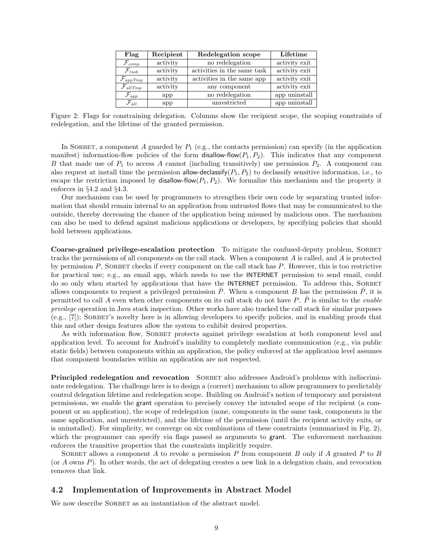| Flag                     | Recipient | Redelegation scope          | Lifetime      |
|--------------------------|-----------|-----------------------------|---------------|
| $\mathcal{F}_{comp}$     | activity  | no redelegation             | activity exit |
| $\mathcal{F}_{task}$     | activity  | activities in the same task | activity exit |
| $\mathcal{F}_{app\,Tmp}$ | activity  | activities in the same app  | activity exit |
| $\mathcal{F}_{allTmp}$   | activity  | any component               | activity exit |
| $\mathcal{F}_{app}$      | app       | no redelegation             | app uninstall |
| $\mathcal{F}_{all}$      | app       | unrestricted                | app uninstall |

Figure 2: Flags for constraining delegation. Columns show the recipient scope, the scoping constraints of redelegation, and the lifetime of the granted permission.

In SORBET, a component A guarded by  $P_1$  (e.g., the contacts permission) can specify (in the application manifest) information-flow policies of the form disallow-flow $(P_1, P_2)$ . This indicates that any component B that made use of  $P_1$  to access A cannot (including transitively) use permission  $P_2$ . A component can also request at install time the permission allow-declassify( $P_1, P_2$ ) to declassify sensitive information, i.e., to escape the restriction imposed by disallow-flow( $P_1, P_2$ ). We formalize this mechanism and the property it enforces in §4.2 and §4.3.

Our mechanism can be used by programmers to strengthen their own code by separating trusted information that should remain internal to an application from untrusted flows that may be communicated to the outside, thereby decreasing the chance of the application being misused by malicious ones. The mechanism can also be used to defend against malicious applications or developers, by specifying policies that should hold between applications.

Coarse-grained privilege-escalation protection To mitigate the confused-deputy problem, SORBET tracks the permissions of all components on the call stack. When a component A is called, and A is protected by permission  $P$ , SORBET checks if every component on the call stack has  $P$ . However, this is too restrictive for practical use; e.g., an email app, which needs to use the INTERNET permission to send email, could do so only when started by applications that have the **INTERNET** permission. To address this, SORBET allows components to request a privileged permission  $\hat{P}$ . When a component B has the permission  $\hat{P}$ , it is permitted to call A even when other components on its call stack do not have  $P$ . P is similar to the *enable* privilege operation in Java stack inspection. Other works have also tracked the call stack for similar purposes  $(e.g., [7])$ ; SORBET's novelty here is in allowing developers to specify policies, and in enabling proofs that this and other design features allow the system to exhibit desired properties.

As with information flow, SORBET protects against privilege escalation at both component level and application level. To account for Android's inability to completely mediate communication (e.g., via public static fields) between components within an application, the policy enforced at the application level assumes that component boundaries within an application are not respected.

**Principled redelegation and revocation** SORBET also addresses Android's problems with indiscriminate redelegation. The challenge here is to design a (correct) mechanism to allow programmers to predictably control delegation lifetime and redelegation scope. Building on Android's notion of temporary and persistent permissions, we enable the grant operation to precisely convey the intended scope of the recipient (a component or an application), the scope of redelegation (none, components in the same task, components in the same application, and unrestricted), and the lifetime of the permission (until the recipient activity exits, or is uninstalled). For simplicity, we converge on six combinations of these constraints (summarized in Fig. 2), which the programmer can specify via flags passed as arguments to grant. The enforcement mechanism enforces the transitive properties that the constraints implicitly require.

SORBET allows a component A to revoke a permission P from component B only if A granted P to B (or  $A$  owns  $P$ ). In other words, the act of delegating creates a new link in a delegation chain, and revocation removes that link.

#### 4.2 Implementation of Improvements in Abstract Model

We now describe SORBET as an instantiation of the abstract model.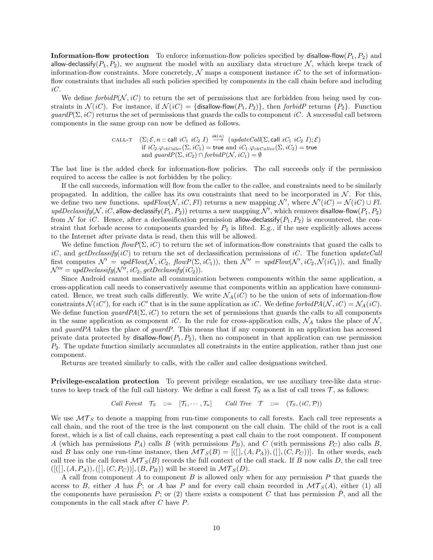**Information-flow protection** To enforce information-flow policies specified by disallow-flow( $P_1, P_2$ ) and allow-declassify( $P_1, P_2$ ), we augment the model with an auxiliary data structure N, which keeps track of information-flow constraints. More concretely,  $\mathcal N$  maps a component instance iC to the set of informationflow constraints that includes all such policies specified by components in the call chain before and including  $iC$ .

We define forbid $P(N, iC)$  to return the set of permissions that are forbidden from being used by constraints in  $\mathcal{N}(iC)$ . For instance, if  $\mathcal{N}(iC) = \{$  disallow-flow $(P_1, P_2)\}$ , then forbidP returns  $\{P_2\}$ . Function  $guardP(\Sigma, iC)$  returns the set of permissions that guards the calls to component iC. A successful call between components in the same group can now be defined as follows.

CALL-T 
$$
(\Sigma; \mathcal{E}, n::\text{call } iC_1 \text{ } iC_2 \text{ } I) \xrightarrow{\text{ok}(n)} (updateCall(\Sigma, \text{call } iC_1 \text{ } iC_2 \text{ } I); \mathcal{E})
$$
  
if  $iC_2 \cdot \varphi_{ckCaller}(\Sigma, iC_1) = \text{true}$  and  $iC_1 \cdot \varphi_{ckCallee}(\Sigma, iC_2) = \text{true}$   
and  $guardP(\Sigma, iC_2) \cap forbidP(\mathcal{N}, iC_1) = \emptyset$ 

The last line is the added check for information-flow policies. The call succeeds only if the permission required to access the callee is not forbidden by the policy.

If the call succeeds, information will flow from the caller to the callee, and constraints need to be similarly propagated. In addition, the callee has its own constraints that need to be incorporated in  $N$ . For this, we define two new functions.  $updFlow(\mathcal{N}, iC, Fl)$  returns a new mapping  $\mathcal{N}'$ , where  $\mathcal{N}'(iC) = \mathcal{N}(iC) \cup Fl$ .  $up dDe classify(\mathcal{N}, iC, \text{allow-declassify}(P_1, P_2))$  returns a new mapping  $\mathcal{N}'$ , which removes disallow-flow $(P_1, P_2)$ from N for iC. Hence, after a declassification permission allow-declassify( $P_1, P_2$ ) is encountered, the constraint that forbade access to components guarded by  $P_2$  is lifted. E.g., if the user explicitly allows access to the Internet after private data is read, then this will be allowed.

We define function  $flowP(\Sigma, iC)$  to return the set of information-flow constraints that guard the calls to iC, and getDeclassify(iC) to return the set of declassification permissions of iC. The function updateCall first computes  $\mathcal{N}' = updFlow(\mathcal{N}, iC_2, flowP(\Sigma, iC_1)),$  then  $\mathcal{N}'' = updFlow(\mathcal{N}', iC_2, \mathcal{N}(iC_1)),$  and finally  $\mathcal{N}''' = updDe classify(\mathcal{N}'', iC_2, getDe classify(iC_2)).$ 

Since Android cannot mediate all communication between components within the same application, a cross-application call needs to conservatively assume that components within an application have communicated. Hence, we treat such calls differently. We write  $\mathcal{N}_A(iC)$  to be the union of sets of information-flow constraints  $\mathcal{N}(iC')$ , for each  $iC'$  that is in the same application as iC. We define forbidPA( $\mathcal{N}, iC$ ) =  $\mathcal{N}_A(iC)$ . We define function  $guardPA(\Sigma, iC)$  to return the set of permissions that guards the calls to all components in the same application as component iC. In the rule for cross-application calls,  $\mathcal{N}_A$  takes the place of  $\mathcal{N}$ , and guardPA takes the place of guardP. This means that if any component in an application has accessed private data protected by disallow-flow $(P_1, P_2)$ , then no component in that application can use permission  $P_2$ . The update function similarly accumulates all constraints in the entire application, rather than just one component.

Returns are treated similarly to calls, with the caller and callee designations switched.

Privilege-escalation protection To prevent privilege escalation, we use auxiliary tree-like data structures to keep track of the full call history. We define a call forest  $\mathcal{T}_S$  as a list of call trees  $\mathcal{T}$ , as follows:

Call Forest 
$$
\mathcal{T}_S := [\mathcal{T}_1, \cdots, \mathcal{T}_n]
$$
 Call Tree  $\mathcal{T} ::= (\mathcal{T}_S, (i\mathcal{C}, \mathcal{P}))$ 

We use  $\mathcal{MT}_S$  to denote a mapping from run-time components to call forests. Each call tree represents a call chain, and the root of the tree is the last component on the call chain. The child of the root is a call forest, which is a list of call chains, each representing a past call chain to the root component. If component A (which has permissions  $P_A$ ) calls B (with permissions  $P_B$ ), and C (with permissions  $P_C$ ) also calls B, and B has only one run-time instance, then  $\mathcal{MT}_{S}(B) = [([], (A, P_A)), ([], (C, P_C))]$ . In other words, each call tree in the call forest  $\mathcal{MT}_{S}(B)$  records the full context of the call stack. If B now calls D, the call tree  $([[[], (A, P_A)), [[], (C, P_C))], (B, P_B))$  will be stored in  $\mathcal{MT}_S(D)$ .

A call from component A to component B is allowed only when for any permission P that guards the access to B, either A has  $\hat{P}$ ; or A has P and for every call chain recorded in  $\mathcal{MT}_{S}(A)$ , either (1) all the components have permission P; or (2) there exists a component C that has permission  $\hat{P}$ , and all the components in the call stack after C have P.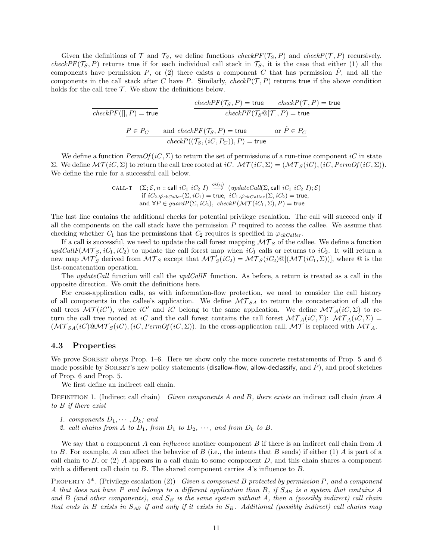Given the definitions of  $\mathcal T$  and  $\mathcal T_S$ , we define functions checkPf( $\mathcal T_S$ , P) and checkP( $\mathcal T$ , P) recursively. check  $PF(\mathcal{T}_S, P)$  returns true if for each individual call stack in  $\mathcal{T}_S$ , it is the case that either (1) all the components have permission  $P$ , or (2) there exists a component C that has permission  $\hat{P}$ , and all the components in the call stack after C have P. Similarly, check $P(\mathcal{T}, P)$  returns true if the above condition holds for the call tree  $\mathcal T$ . We show the definitions below.

$$
\frac{checkPF(\mathcal{T}_S, P) = \text{true} \qquad \text{check}P(\mathcal{T}, P) = \text{true}}{\text{check}P(\mathcal{T}_S \mathcal{Q}[\mathcal{T}], P) = \text{true}}
$$
\n
$$
\frac{P \in P_C \qquad \text{and } \text{check}P(\mathcal{T}_S, P) = \text{true} \qquad \text{or } \hat{P} \in P_C}{\text{check}P((\mathcal{T}_S, (iC, P_C)), P) = \text{true}}
$$

We define a function  $PermOf(iC, \Sigma)$  to return the set of permissions of a run-time component iC in state Σ. We define  $\mathcal{MT}(iC, \Sigma)$  to return the call tree rooted at iC.  $\mathcal{MT}(iC, \Sigma) = (\mathcal{MT}_S(iC), (iC, PermOf(iC, \Sigma)).$ We define the rule for a successful call below.

CALL-T 
$$
(\Sigma; \mathcal{E}, n::\text{call } iC_1 \text{ } iC_2 \text{ } I) \xrightarrow{\text{ok}(n)} (updateCall(\Sigma, \text{call } iC_1 \text{ } iC_2 \text{ } I); \mathcal{E})
$$
  
if  $iC_2 \cdot \varphi_{ckCaller}(\Sigma, iC_1) = \text{true}, \quad iC_1 \cdot \varphi_{ckCallee}(\Sigma, iC_2) = \text{true},$   
and  $\forall P \in guardP(\Sigma, iC_2), \quad checkP(\mathcal{MT}(iC_1, \Sigma), P) = \text{true}$ 

The last line contains the additional checks for potential privilege escalation. The call will succeed only if all the components on the call stack have the permission P required to access the callee. We assume that checking whether  $C_1$  has the permissions that  $C_2$  requires is specified in  $\varphi_{ckCaller}$ .

If a call is successful, we need to update the call forest mapping  $\mathcal{MT}_S$  of the callee. We define a function updCallF( $\mathcal{MT}_S$ , iC<sub>1</sub>, iC<sub>2</sub>) to update the call forest map when iC<sub>1</sub> calls or returns to iC<sub>2</sub>. It will return a new map  $\mathcal{MT}'_S$  derived from  $\mathcal{MT}_S$  except that  $\mathcal{MT}'_S(iC_2) = \mathcal{MT}_S(iC_2) \mathbb{Q}[(\mathcal{MT}(iC_1, \Sigma))],$  where  $\mathbb Q$  is the list-concatenation operation.

The updateCall function will call the updCallF function. As before, a return is treated as a call in the opposite direction. We omit the definitions here.

For cross-application calls, as with information-flow protection, we need to consider the call history of all components in the callee's application. We define  $MT_{SA}$  to return the concatenation of all the call trees  $\mathcal{MT}(iC')$ , where  $iC'$  and  $iC$  belong to the same application. We define  $\mathcal{MT}_A(iC, \Sigma)$  to return the call tree rooted at iC and the call forest contains the call forest  $\mathcal{MT}_A(iC, \Sigma)$ :  $\mathcal{MT}_A(iC, \Sigma)$  =  $(\mathcal{MT}_{SA}(iC) \textcircled{M} \mathcal{T}_{S}(iC), (iC,PermOf(iC, \Sigma))$ . In the cross-application call,  $\mathcal{MT}$  is replaced with  $\mathcal{MT}_{A}$ .

#### 4.3 Properties

We prove SORBET obeys Prop. 1–6. Here we show only the more concrete restatements of Prop. 5 and 6 made possible by SORBET's new policy statements (disallow-flow, allow-declassify, and  $P$ ), and proof sketches of Prop. 6 and Prop. 5.

We first define an indirect call chain.

DEFINITION 1. (Indirect call chain) Given components A and B, there exists an indirect call chain from A to B if there exist

- 1. components  $D_1, \cdots, D_k$ ; and
- 2. call chains from A to  $D_1$ , from  $D_1$  to  $D_2$ ,  $\cdots$ , and from  $D_k$  to B.

We say that a component A can *influence* another component B if there is an indirect call chain from A to B. For example, A can affect the behavior of B (i.e., the intents that B sends) if either (1) A is part of a call chain to B, or  $(2)$  A appears in a call chain to some component D, and this chain shares a component with a different call chain to  $B$ . The shared component carries  $A$ 's influence to  $B$ .

PROPERTY 5<sup>\*</sup>. (Privilege escalation (2)) Given a component B protected by permission P, and a component A that does not have P and belongs to a different application than B, if  $S_{AB}$  is a system that contains A and B (and other components), and  $S_B$  is the same system without A, then a (possibly indirect) call chain that ends in B exists in  $S_{AB}$  if and only if it exists in  $S_B$ . Additional (possibly indirect) call chains may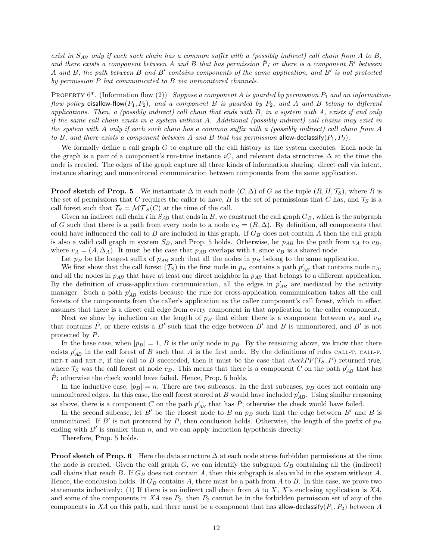exist in  $S_{AB}$  only if each such chain has a common suffix with a (possibly indirect) call chain from A to B, and there exists a component between A and B that has permission  $\hat{P}$ ; or there is a component B' between A and B, the path between B and B' contains components of the same application, and B' is not protected by permission P but communicated to B via unmonitored channels.

PROPERTY 6<sup>\*</sup>. (Information flow (2)) Suppose a component A is guarded by permission  $P_1$  and an informationflow policy disallow-flow( $P_1, P_2$ ), and a component B is guarded by  $P_2$ , and A and B belong to different applications. Then, a (possibly indirect) call chain that ends with B, in a system with A, exists if and only if the same call chain exists in a system without A. Additional (possibly indirect) call chains may exist in the system with A only if each such chain has a common suffix with a (possibly indirect) call chain from A to B, and there exists a component between A and B that has permission allow-declassify( $P_1, P_2$ ).

We formally define a call graph  $G$  to capture all the call history as the system executes. Each node in the graph is a pair of a component's run-time instance iC, and relevant data structures  $\Delta$  at the time the node is created. The edges of the graph capture all three kinds of information sharing: direct call via intent, instance sharing; and unmonitored communication between components from the same application.

**Proof sketch of Prop. 5** We instantiate  $\Delta$  in each node  $(C, \Delta)$  of G as the tuple  $(R, H, \mathcal{T}_S)$ , where R is the set of permissions that C requires the caller to have, H is the set of permissions that C has, and  $\mathcal{T}_S$  is a call forest such that  $\mathcal{T}_S = \mathcal{MT}_S(C)$  at the time of the call.

Given an indirect call chain t in  $S_{AB}$  that ends in B, we construct the call graph  $G_B$ , which is the subgraph of G such that there is a path from every node to a node  $v_B = (B, \Delta)$ . By definition, all components that could have influenced the call to  $B$  are included in this graph. If  $G_B$  does not contain  $A$  then the call graph is also a valid call graph in system  $S_B$ , and Prop. 5 holds. Otherwise, let  $p_{AB}$  be the path from  $v_A$  to  $v_B$ , where  $v_A = (A, \Delta_A)$ . It must be the case that  $p_{AB}$  overlaps with t, since  $v_B$  is a shared node.

Let  $p_B$  be the longest suffix of  $p_{AB}$  such that all the nodes in  $p_B$  belong to the same application.

We first show that the call forest  $(\mathcal{T}_S)$  in the first node in  $p_B$  contains a path  $p'_{AB}$  that contains node  $v_A$ , and all the nodes in  $p_{AB}$  that have at least one direct neighbor in  $p_{AB}$  that belongs to a different application. By the definition of cross-application communication, all the edges in  $p'_{AB}$  are mediated by the activity manager. Such a path  $p'_{AB}$  exists because the rule for cross-application communication takes all the call forests of the components from the caller's application as the caller component's call forest, which in effect assumes that there is a direct call edge from every component in that application to the caller component.

Next we show by induction on the length of  $p_B$  that either there is a component between  $v_A$  and  $v_B$ that contains  $\hat{P}$ , or there exists a B' such that the edge between B' and B is unmonitored, and B' is not protected by P.

In the base case, when  $|p_B| = 1$ , B is the only node in  $p_B$ . By the reasoning above, we know that there exists  $p'_{AB}$  in the call forest of B such that A is the first node. By the definitions of rules CALL-T, CALL-F, RET-T and RET-F, if the call to B succeeded, then it must be the case that  $checkPF(\mathcal{T}_S, P)$  returned true, where  $\mathcal{T}_S$  was the call forest at node  $v_B$ . This means that there is a component C on the path  $p'_{AB}$  that has  $\dot{P}$ ; otherwise the check would have failed. Hence, Prop. 5 holds.

In the inductive case,  $|p_B| = n$ . There are two subcases. In the first subcases,  $p_B$  does not contain any unmonitored edges. In this case, the call forest stored at B would have included  $p'_{AB}$ . Using similar reasoning as above, there is a component C on the path  $p'_{AB}$  that has  $\hat{P}$ ; otherwise the check would have failed.

In the second subcase, let B<sup>'</sup> be the closest node to B on  $p_B$  such that the edge between B' and B is unmonitored. If  $B'$  is not protected by  $P$ , then conclusion holds. Otherwise, the length of the prefix of  $p_B$ ending with  $B'$  is smaller than  $n$ , and we can apply induction hypothesis directly.

Therefore, Prop. 5 holds.

**Proof sketch of Prop. 6** Here the data structure  $\Delta$  at each node stores forbidden permissions at the time the node is created. Given the call graph  $G$ , we can identify the subgraph  $G_B$  containing all the (indirect) call chains that reach B. If  $G_B$  does not contain A, then this subgraph is also valid in the system without A. Hence, the conclusion holds. If  $G_B$  contains A, there must be a path from A to B. In this case, we prove two statements inductively: (1) If there is an indirect call chain from A to X, X's enclosing application is  $XA$ , and some of the components in  $XA$  use  $P_2$ , then  $P_2$  cannot be in the forbidden permission set of any of the components in XA on this path, and there must be a component that has allow-declassify( $P_1, P_2$ ) between A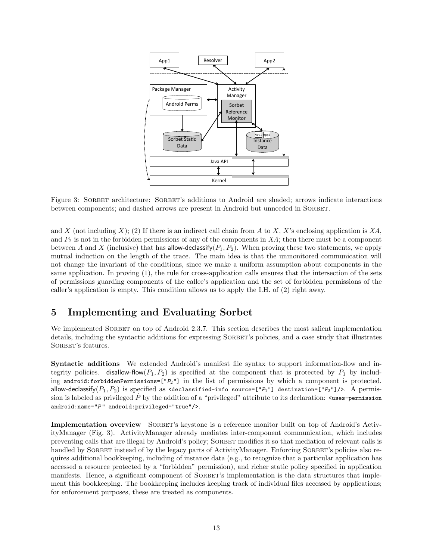

Figure 3: SORBET architecture: SORBET's additions to Android are shaded; arrows indicate interactions between components; and dashed arrows are present in Android but unneeded in SORBET.

and X (not including X); (2) If there is an indirect call chain from A to X, X's enclosing application is  $XA$ , and  $P_2$  is not in the forbidden permissions of any of the components in  $XA$ ; then there must be a component between A and X (inclusive) that has allow-declassify( $P_1, P_2$ ). When proving these two statements, we apply mutual induction on the length of the trace. The main idea is that the unmonitored communication will not change the invariant of the conditions, since we make a uniform assumption about components in the same application. In proving (1), the rule for cross-application calls ensures that the intersection of the sets of permissions guarding components of the callee's application and the set of forbidden permissions of the caller's application is empty. This condition allows us to apply the I.H. of (2) right away.

# 5 Implementing and Evaluating Sorbet

We implemented SORBET on top of Android 2.3.7. This section describes the most salient implementation details, including the syntactic additions for expressing SORBET's policies, and a case study that illustrates SORBET's features.

Syntactic additions We extended Android's manifest file syntax to support information-flow and integrity policies. disallow-flow $(P_1, P_2)$  is specified at the component that is protected by  $P_1$  by including android:forbiddenPermissions=["P2"] in the list of permissions by which a component is protected. allow-declassify( $P_1, P_2$ ) is specified as <declassified-info source=[" $P_1$ "] destination=[" $P_2$ "]/>. A permission is labeled as privileged  $\hat{P}$  by the addition of a "privileged" attribute to its declaration:  $\zeta$ uses-permission android:name="P" android:privileged="true"/>.

Implementation overview SORBET's keystone is a reference monitor built on top of Android's ActivityManager (Fig. 3). ActivityManager already mediates inter-component communication, which includes preventing calls that are illegal by Android's policy; SORBET modifies it so that mediation of relevant calls is handled by SORBET instead of by the legacy parts of ActivityManager. Enforcing SORBET's policies also requires additional bookkeeping, including of instance data (e.g., to recognize that a particular application has accessed a resource protected by a "forbidden" permission), and richer static policy specified in application manifests. Hence, a significant component of SORBET's implementation is the data structures that implement this bookkeeping. The bookkeeping includes keeping track of individual files accessed by applications; for enforcement purposes, these are treated as components.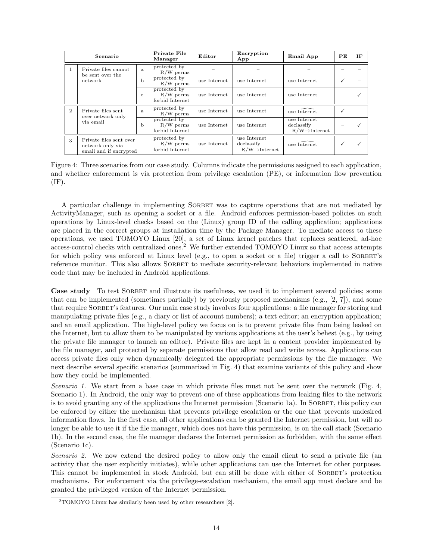| Scenario                                                                   |                                                      |              | Private File<br>Manager                        | Editor       | Encryption<br>App                                        | Email App                                                | PE                       | ΙF |
|----------------------------------------------------------------------------|------------------------------------------------------|--------------|------------------------------------------------|--------------|----------------------------------------------------------|----------------------------------------------------------|--------------------------|----|
| be sent over the<br>network                                                | Private files cannot                                 | a.           | protected by<br>$R/W$ perms                    |              |                                                          |                                                          |                          |    |
|                                                                            |                                                      | Ь            | protected by<br>$R/W$ perms                    | use Internet | use Internet                                             | use Internet                                             | $\checkmark$             |    |
|                                                                            |                                                      | $\mathbf{c}$ | protected by<br>$R/W$ perms<br>forbid Internet | use Internet | use Internet                                             | use Internet                                             | $\sim$                   |    |
| $\overline{2}$                                                             | Private files sent<br>over network only<br>via email | a.           | protected by<br>$R/W$ perms                    | use Internet | use Internet                                             | use Internet                                             | $\checkmark$             |    |
|                                                                            |                                                      | b            | protected by<br>$R/W$ perms<br>forbid Internet | use Internet | use Internet                                             | use Internet<br>declassify<br>$R/W \rightarrow$ Internet | $\overline{\phantom{a}}$ |    |
| Private files sent over<br>3<br>network only via<br>email and if encrypted |                                                      |              | protected by<br>$R/W$ perms<br>forbid Internet | use Internet | use Internet<br>declassify<br>$R/W \rightarrow$ Internet | use Internet                                             | $\checkmark$             |    |

Figure 4: Three scenarios from our case study. Columns indicate the permissions assigned to each application, and whether enforcement is via protection from privilege escalation (PE), or information flow prevention  $(IF).$ 

A particular challenge in implementing SORBET was to capture operations that are not mediated by ActivityManager, such as opening a socket or a file. Android enforces permission-based policies on such operations by Linux-level checks based on the (Linux) group ID of the calling application; applications are placed in the correct groups at installation time by the Package Manager. To mediate access to these operations, we used TOMOYO Linux [20], a set of Linux kernel patches that replaces scattered, ad-hoc access-control checks with centralized ones.<sup>2</sup> We further extended TOMOYO Linux so that access attempts for which policy was enforced at Linux level (e.g., to open a socket or a file) trigger a call to  $SORBET$ 's reference monitor. This also allows SORBET to mediate security-relevant behaviors implemented in native code that may be included in Android applications.

Case study To test SORBET and illustrate its usefulness, we used it to implement several policies; some that can be implemented (sometimes partially) by previously proposed mechanisms (e.g.,  $[2, 7]$ ), and some that require Sorbet's features. Our main case study involves four applications: a file manager for storing and manipulating private files (e.g., a diary or list of account numbers); a text editor; an encryption application; and an email application. The high-level policy we focus on is to prevent private files from being leaked on the Internet, but to allow them to be manipulated by various applications at the user's behest (e.g., by using the private file manager to launch an editor). Private files are kept in a content provider implemented by the file manager, and protected by separate permissions that allow read and write access. Applications can access private files only when dynamically delegated the appropriate permissions by the file manager. We next describe several specific scenarios (summarized in Fig. 4) that examine variants of this policy and show how they could be implemented.

Scenario 1. We start from a base case in which private files must not be sent over the network (Fig. 4, Scenario 1). In Android, the only way to prevent one of these applications from leaking files to the network is to avoid granting any of the applications the Internet permission (Scenario 1a). In SORBET, this policy can be enforced by either the mechanism that prevents privilege escalation or the one that prevents undesired information flows. In the first case, all other applications can be granted the Internet permission, but will no longer be able to use it if the file manager, which does not have this permission, is on the call stack (Scenario 1b). In the second case, the file manager declares the Internet permission as forbidden, with the same effect (Scenario 1c).

Scenario 2. We now extend the desired policy to allow only the email client to send a private file (an activity that the user explicitly initiates), while other applications can use the Internet for other purposes. This cannot be implemented in stock Android, but can still be done with either of SORBET's protection mechanisms. For enforcement via the privilege-escalation mechanism, the email app must declare and be granted the privileged version of the Internet permission.

<sup>2</sup>TOMOYO Linux has similarly been used by other researchers [2].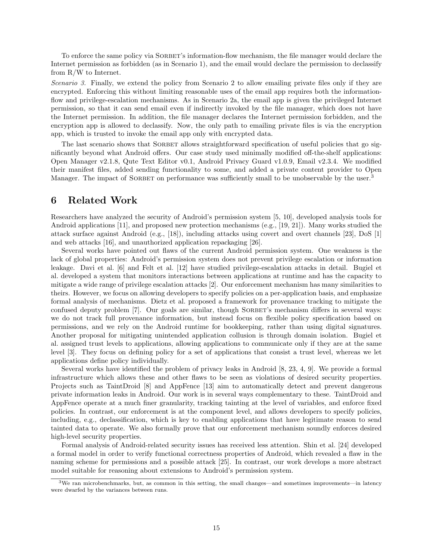To enforce the same policy via SORBET's information-flow mechanism, the file manager would declare the Internet permission as forbidden (as in Scenario 1), and the email would declare the permission to declassify from R/W to Internet.

Scenario 3. Finally, we extend the policy from Scenario 2 to allow emailing private files only if they are encrypted. Enforcing this without limiting reasonable uses of the email app requires both the informationflow and privilege-escalation mechanisms. As in Scenario 2a, the email app is given the privileged Internet permission, so that it can send email even if indirectly invoked by the file manager, which does not have the Internet permission. In addition, the file manager declares the Internet permission forbidden, and the encryption app is allowed to declassify. Now, the only path to emailing private files is via the encryption app, which is trusted to invoke the email app only with encrypted data.

The last scenario shows that SORBET allows straightforward specification of useful policies that go significantly beyond what Android offers. Our case study used minimally modified off-the-shelf applications: Open Manager v2.1.8, Qute Text Editor v0.1, Android Privacy Guard v1.0.9, Email v2.3.4. We modified their manifest files, added sending functionality to some, and added a private content provider to Open Manager. The impact of SORBET on performance was sufficiently small to be unobservable by the user.<sup>3</sup>

## 6 Related Work

Researchers have analyzed the security of Android's permission system [5, 10], developed analysis tools for Android applications [11], and proposed new protection mechanisms (e.g., [19, 21]). Many works studied the attack surface against Android (e.g., [18]), including attacks using covert and overt channels [23], DoS [1] and web attacks [16], and unauthorized application repackaging [26].

Several works have pointed out flaws of the current Android permission system. One weakness is the lack of global properties: Android's permission system does not prevent privilege escalation or information leakage. Davi et al. [6] and Felt et al. [12] have studied privilege-escalation attacks in detail. Bugiel et al. developed a system that monitors interactions between applications at runtime and has the capacity to mitigate a wide range of privilege escalation attacks [2]. Our enforcement mechanism has many similarities to theirs. However, we focus on allowing developers to specify policies on a per-application basis, and emphasize formal analysis of mechanisms. Dietz et al. proposed a framework for provenance tracking to mitigate the confused deputy problem [7]. Our goals are similar, though SORBET's mechanism differs in several ways: we do not track full provenance information, but instead focus on flexible policy specification based on permissions, and we rely on the Android runtime for bookkeeping, rather than using digital signatures. Another proposal for mitigating unintended application collusion is through domain isolation. Bugiel et al. assigned trust levels to applications, allowing applications to communicate only if they are at the same level [3]. They focus on defining policy for a set of applications that consist a trust level, whereas we let applications define policy individually.

Several works have identified the problem of privacy leaks in Android [8, 23, 4, 9]. We provide a formal infrastructure which allows these and other flaws to be seen as violations of desired security properties. Projects such as TaintDroid [8] and AppFence [13] aim to automatically detect and prevent dangerous private information leaks in Android. Our work is in several ways complementary to these. TaintDroid and AppFence operate at a much finer granularity, tracking tainting at the level of variables, and enforce fixed policies. In contrast, our enforcement is at the component level, and allows developers to specify policies, including, e.g., declassification, which is key to enabling applications that have legitimate reason to send tainted data to operate. We also formally prove that our enforcement mechanism soundly enforces desired high-level security properties.

Formal analysis of Android-related security issues has received less attention. Shin et al. [24] developed a formal model in order to verify functional correctness properties of Android, which revealed a flaw in the naming scheme for permissions and a possible attack [25]. In contrast, our work develops a more abstract model suitable for reasoning about extensions to Android's permission system.

 $3$ We ran microbenchmarks, but, as common in this setting, the small changes—and sometimes improvements—in latency were dwarfed by the variances between runs.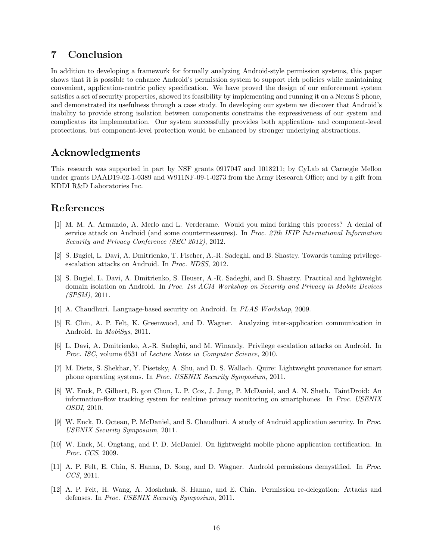## 7 Conclusion

In addition to developing a framework for formally analyzing Android-style permission systems, this paper shows that it is possible to enhance Android's permission system to support rich policies while maintaining convenient, application-centric policy specification. We have proved the design of our enforcement system satisfies a set of security properties, showed its feasibility by implementing and running it on a Nexus S phone, and demonstrated its usefulness through a case study. In developing our system we discover that Android's inability to provide strong isolation between components constrains the expressiveness of our system and complicates its implementation. Our system successfully provides both application- and component-level protections, but component-level protection would be enhanced by stronger underlying abstractions.

# Acknowledgments

This research was supported in part by NSF grants 0917047 and 1018211; by CyLab at Carnegie Mellon under grants DAAD19-02-1-0389 and W911NF-09-1-0273 from the Army Research Office; and by a gift from KDDI R&D Laboratories Inc.

# References

- [1] M. M. A. Armando, A. Merlo and L. Verderame. Would you mind forking this process? A denial of service attack on Android (and some countermeasures). In Proc. 27th IFIP International Information Security and Privacy Conference (SEC 2012), 2012.
- [2] S. Bugiel, L. Davi, A. Dmitrienko, T. Fischer, A.-R. Sadeghi, and B. Shastry. Towards taming privilegeescalation attacks on Android. In Proc. NDSS, 2012.
- [3] S. Bugiel, L. Davi, A. Dmitrienko, S. Heuser, A.-R. Sadeghi, and B. Shastry. Practical and lightweight domain isolation on Android. In Proc. 1st ACM Workshop on Security and Privacy in Mobile Devices (SPSM), 2011.
- [4] A. Chaudhuri. Language-based security on Android. In PLAS Workshop, 2009.
- [5] E. Chin, A. P. Felt, K. Greenwood, and D. Wagner. Analyzing inter-application communication in Android. In MobiSys, 2011.
- [6] L. Davi, A. Dmitrienko, A.-R. Sadeghi, and M. Winandy. Privilege escalation attacks on Android. In Proc. ISC, volume 6531 of Lecture Notes in Computer Science, 2010.
- [7] M. Dietz, S. Shekhar, Y. Pisetsky, A. Shu, and D. S. Wallach. Quire: Lightweight provenance for smart phone operating systems. In Proc. USENIX Security Symposium, 2011.
- [8] W. Enck, P. Gilbert, B. gon Chun, L. P. Cox, J. Jung, P. McDaniel, and A. N. Sheth. TaintDroid: An information-flow tracking system for realtime privacy monitoring on smartphones. In Proc. USENIX OSDI, 2010.
- [9] W. Enck, D. Octeau, P. McDaniel, and S. Chaudhuri. A study of Android application security. In Proc. USENIX Security Symposium, 2011.
- [10] W. Enck, M. Ongtang, and P. D. McDaniel. On lightweight mobile phone application certification. In Proc. CCS, 2009.
- [11] A. P. Felt, E. Chin, S. Hanna, D. Song, and D. Wagner. Android permissions demystified. In Proc. CCS, 2011.
- [12] A. P. Felt, H. Wang, A. Moshchuk, S. Hanna, and E. Chin. Permission re-delegation: Attacks and defenses. In Proc. USENIX Security Symposium, 2011.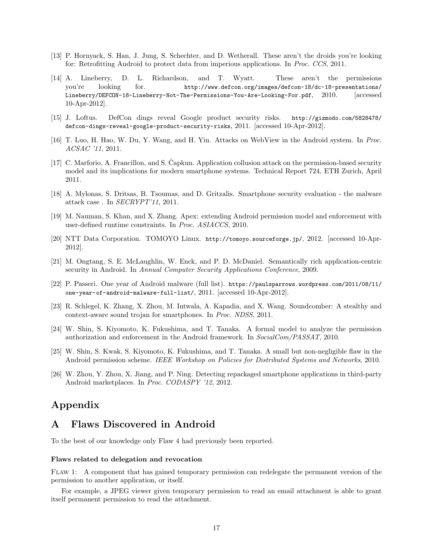- [13] P. Hornyack, S. Han, J. Jung, S. Schechter, and D. Wetherall. These aren't the droids you're looking for: Retrofitting Android to protect data from imperious applications. In Proc. CCS, 2011.
- [14] A. Lineberry, D. L. Richardson, and T. Wyatt. These aren't the permissions you're looking for. http://www.defcon.org/images/defcon-18/dc-18-presentations/ Lineberry/DEFCON-18-Lineberry-Not-The-Permissions-You-Are-Looking-For.pdf, 2010. accessed 10-Apr-2012].
- [15] J. Loftus. DefCon dings reveal Google product security risks. http://gizmodo.com/5828478/ defcon-dings-reveal-google-product-security-risks, 2011. [accessed 10-Apr-2012].
- [16] T. Luo, H. Hao, W. Du, Y. Wang, and H. Yin. Attacks on WebView in the Android system. In Proc. ACSAC '11, 2011.
- [17] C. Marforio, A. Francillon, and S. Čapkun. Application collusion attack on the permission-based security model and its implications for modern smartphone systems. Technical Report 724, ETH Zurich, April 2011.
- [18] A. Mylonas, S. Dritsas, B. Tsoumas, and D. Gritzalis. Smartphone security evaluation the malware attack case . In SECRYPT'11, 2011.
- [19] M. Nauman, S. Khan, and X. Zhang. Apex: extending Android permission model and enforcement with user-defined runtime constraints. In Proc. ASIACCS, 2010.
- [20] NTT Data Corporation. TOMOYO Linux. http://tomoyo.sourceforge.jp/, 2012. [accessed 10-Apr-2012].
- [21] M. Ongtang, S. E. McLaughlin, W. Enck, and P. D. McDaniel. Semantically rich application-centric security in Android. In Annual Computer Security Applications Conference, 2009.
- [22] P. Passeri. One year of Android malware (full list). https://paulsparrows.wordpress.com/2011/08/11/ one-year-of-android-malware-full-list/, 2011. [accessed 10-Apr-2012].
- [23] R. Schlegel, K. Zhang, X. Zhou, M. Intwala, A. Kapadia, and X. Wang. Soundcomber: A stealthy and context-aware sound trojan for smartphones. In Proc. NDSS, 2011.
- [24] W. Shin, S. Kiyomoto, K. Fukushima, and T. Tanaka. A formal model to analyze the permission authorization and enforcement in the Android framework. In SocialCom/PASSAT, 2010.
- [25] W. Shin, S. Kwak, S. Kiyomoto, K. Fukushima, and T. Tanaka. A small but non-negligible flaw in the Android permission scheme. IEEE Workshop on Policies for Distributed Systems and Networks, 2010.
- [26] W. Zhou, Y. Zhou, X. Jiang, and P. Ning. Detecting repackaged smartphone applications in third-party Android marketplaces. In Proc. CODASPY '12, 2012.

# Appendix

# A Flaws Discovered in Android

To the best of our knowledge only Flaw 4 had previously been reported.

#### Flaws related to delegation and revocation

Flaw 1: A component that has gained temporary permission can redelegate the permanent version of the permission to another application, or itself.

For example, a JPEG viewer given temporary permission to read an email attachment is able to grant itself permanent permission to read the attachment.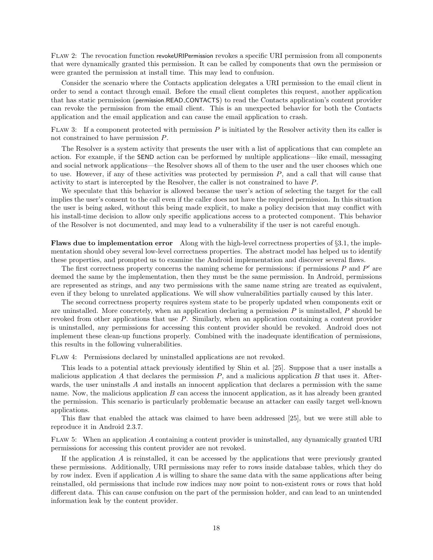Flaw 2: The revocation function revokeURIPermission revokes a specific URI permission from all components that were dynamically granted this permission. It can be called by components that own the permission or were granted the permission at install time. This may lead to confusion.

Consider the scenario where the Contacts application delegates a URI permission to the email client in order to send a contact through email. Before the email client completes this request, another application that has static permission (permission.READ CONTACTS) to read the Contacts application's content provider can revoke the permission from the email client. This is an unexpected behavior for both the Contacts application and the email application and can cause the email application to crash.

FLAW 3: If a component protected with permission  $P$  is initiated by the Resolver activity then its caller is not constrained to have permission P.

The Resolver is a system activity that presents the user with a list of applications that can complete an action. For example, if the SEND action can be performed by multiple applications—like email, messaging and social network applications—the Resolver shows all of them to the user and the user chooses which one to use. However, if any of these activities was protected by permission  $P$ , and a call that will cause that activity to start is intercepted by the Resolver, the caller is not constrained to have P.

We speculate that this behavior is allowed because the user's action of selecting the target for the call implies the user's consent to the call even if the caller does not have the required permission. In this situation the user is being asked, without this being made explicit, to make a policy decision that may conflict with his install-time decision to allow only specific applications access to a protected component. This behavior of the Resolver is not documented, and may lead to a vulnerability if the user is not careful enough.

Flaws due to implementation error Along with the high-level correctness properties of §3.1, the implementation should obey several low-level correctness properties. The abstract model has helped us to identify these properties, and prompted us to examine the Android implementation and discover several flaws.

The first correctness property concerns the naming scheme for permissions: if permissions  $P$  and  $P'$  are deemed the same by the implementation, then they must be the same permission. In Android, permissions are represented as strings, and any two permissions with the same name string are treated as equivalent, even if they belong to unrelated applications. We will show vulnerabilities partially caused by this later.

The second correctness property requires system state to be properly updated when components exit or are uninstalled. More concretely, when an application declaring a permission  $P$  is uninstalled,  $P$  should be revoked from other applications that use P. Similarly, when an application containing a content provider is uninstalled, any permissions for accessing this content provider should be revoked. Android does not implement these clean-up functions properly. Combined with the inadequate identification of permissions, this results in the following vulnerabilities.

Flaw 4: Permissions declared by uninstalled applications are not revoked.

This leads to a potential attack previously identified by Shin et al. [25]. Suppose that a user installs a malicious application A that declares the permission  $P$ , and a malicious application  $B$  that uses it. Afterwards, the user uninstalls A and installs an innocent application that declares a permission with the same name. Now, the malicious application  $B$  can access the innocent application, as it has already been granted the permission. This scenario is particularly problematic because an attacker can easily target well-known applications.

This flaw that enabled the attack was claimed to have been addressed [25], but we were still able to reproduce it in Android 2.3.7.

Flaw 5: When an application A containing a content provider is uninstalled, any dynamically granted URI permissions for accessing this content provider are not revoked.

If the application  $A$  is reinstalled, it can be accessed by the applications that were previously granted these permissions. Additionally, URI permissions may refer to rows inside database tables, which they do by row index. Even if application A is willing to share the same data with the same applications after being reinstalled, old permissions that include row indices may now point to non-existent rows or rows that hold different data. This can cause confusion on the part of the permission holder, and can lead to an unintended information leak by the content provider.